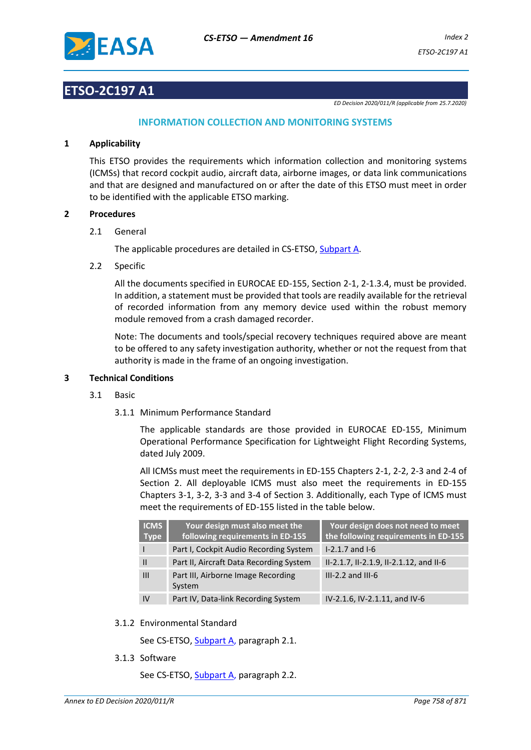

# **ETSO-2C197 A1**

*ED Decision 2020/011/R (applicable from 25.7.2020)*

# **INFORMATION COLLECTION AND MONITORING SYSTEMS**

# **1 Applicability**

This ETSO provides the requirements which information collection and monitoring systems (ICMSs) that record cockpit audio, aircraft data, airborne images, or data link communications and that are designed and manufactured on or after the date of this ETSO must meet in order to be identified with the applicable ETSO marking.

#### **2 Procedures**

2.1 General

The applicable procedures are detailed in CS-ETSO, Subpart A.

2.2 Specific

All the documents specified in EUROCAE ED-155, Section 2-1, 2-1.3.4, must be provided. In addition, a statement must be provided that tools are readily available for the retrieval of recorded information from any memory device used within the robust memory module removed from a crash damaged recorder.

Note: The documents and tools/special recovery techniques required above are meant to be offered to any safety investigation authority, whether or not the request from that authority is made in the frame of an ongoing investigation.

# **3 Technical Conditions**

- 3.1 Basic
	- 3.1.1 Minimum Performance Standard

The applicable standards are those provided in EUROCAE ED-155, Minimum Operational Performance Specification for Lightweight Flight Recording Systems, dated July 2009.

All ICMSs must meet the requirements in ED-155 Chapters 2-1, 2-2, 2-3 and 2-4 of Section 2. All deployable ICMS must also meet the requirements in ED-155 Chapters 3-1, 3-2, 3-3 and 3-4 of Section 3. Additionally, each Type of ICMS must meet the requirements of ED-155 listed in the table below.

| <b>ICMS</b><br><b>Type</b> | Your design must also meet the<br>following requirements in ED-155 | Your design does not need to meet<br>the following requirements in ED-155 |
|----------------------------|--------------------------------------------------------------------|---------------------------------------------------------------------------|
|                            | Part I, Cockpit Audio Recording System                             | $I-2.1.7$ and $I-6$                                                       |
|                            | Part II, Aircraft Data Recording System                            | II-2.1.7, II-2.1.9, II-2.1.12, and II-6                                   |
| $\mathbf{III}$             | Part III, Airborne Image Recording<br>System                       | $III-2.2$ and $III-6$                                                     |
| IV                         | Part IV, Data-link Recording System                                | IV-2.1.6, IV-2.1.11, and IV-6                                             |

3.1.2 Environmental Standard

See CS-ETSO, Subpart A, paragraph 2.1.

3.1.3 Software

See CS-ETSO, Subpart A, paragraph 2.2.